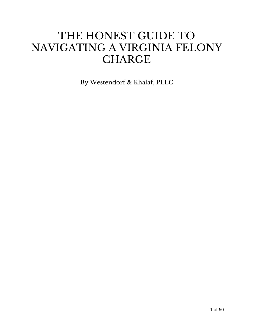## THE HONEST GUIDE TO NAVIGATING A VIRGINIA FELONY **CHARGE**

By Westendorf & Khalaf, PLLC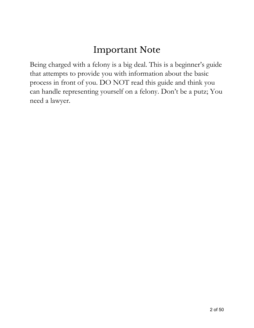## Important Note

Being charged with a felony is a big deal. This is a beginner's guide that attempts to provide you with information about the basic process in front of you. DO NOT read this guide and think you can handle representing yourself on a felony. Don't be a putz; You need a lawyer.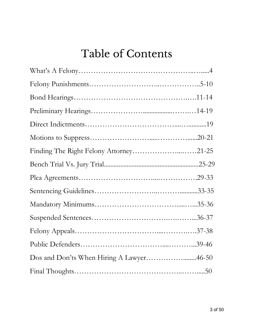# Table of Contents

| Dos and Don'ts When Hiring A Lawyer46-50 |  |
|------------------------------------------|--|
|                                          |  |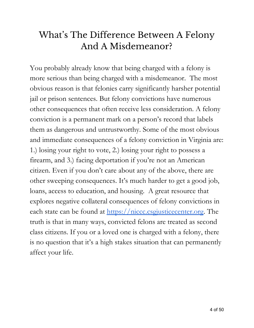## What' s The Difference Between A Felony And A Misdemeanor?

You probably already know that being charged with a felony is more serious than being charged with a misdemeanor. The most obvious reason is that felonies carry significantly harsher potential jail or prison sentences. But felony convictions have numerous other consequences that often receive less consideration. A felony conviction is a permanent mark on a person's record that labels them as dangerous and untrustworthy. Some of the most obvious and immediate consequences of a felony conviction in Virginia are: 1.) losing your right to vote, 2.) losing your right to possess a firearm, and 3.) facing deportation if you're not an American citizen. Even if you don't care about any of the above, there are other sweeping consequences. It's much harder to get a good job, loans, access to education, and housing. A great resource that explores negative collateral consequences of felony convictions in each state can be found at [https://niccc.csgjusticecenter.org](https://niccc.csgjusticecenter.org/). The truth is that in many ways, convicted felons are treated as second class citizens. If you or a loved one is charged with a felony, there is no question that it's a high stakes situation that can permanently affect your life.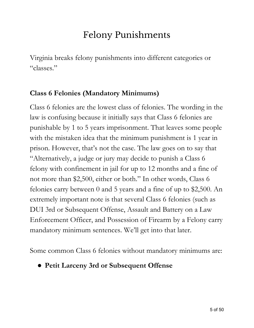## Felony Punishments

Virginia breaks felony punishments into different categories or "classes."

### **Class 6 Felonies (Mandatory Minimums)**

Class 6 felonies are the lowest class of felonies. The wording in the law is confusing because it initially says that Class 6 felonies are punishable by 1 to 5 years imprisonment. That leaves some people with the mistaken idea that the minimum punishment is 1 year in prison. However, that's not the case. The law goes on to say that "Alternatively, a judge or jury may decide to punish a Class 6 felony with confinement in jail for up to 12 months and a fine of not more than \$2,500, either or both." In other words, Class 6 felonies carry between 0 and 5 years and a fine of up to \$2,500. An extremely important note is that several Class 6 felonies (such as DUI 3rd or Subsequent Offense, Assault and Battery on a Law Enforcement Officer, and Possession of Firearm by a Felony carry mandatory minimum sentences. We'll get into that later.

Some common Class 6 felonies without mandatory minimums are:

● **Petit Larceny 3rd or Subsequent Offense**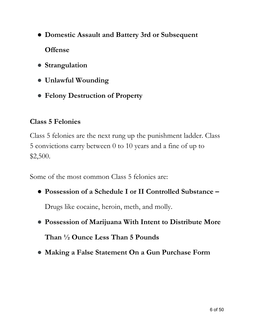- **Domestic Assault and Battery 3rd or Subsequent Offens[e](https://law.lis.virginia.gov/vacode/title58.1/chapter10/section58.1-1017/)**
- **● Strangulation**
- **● Unlawful Wounding**
- **● Felony Destruction of Property**

### **Class 5 Felonies**

Class 5 felonies are the next rung up the punishment ladder. Class 5 convictions carry between 0 to 10 years and a fine of up to \$2,500.

Some of the most common Class 5 felonies are:

● **Possession of a Schedule I or II Controlled Substanc[e –](https://law.lis.virginia.gov/vacode/title18.2/chapter4/section18.2-36/)**

Drugs like cocaine, heroin, meth, and molly.

- **● Possession of Marijuana With Intent to Distribute More Than ½ Ounce Less Than 5 Pounds**
- **● Making a False Statement On a Gun Purchase Form**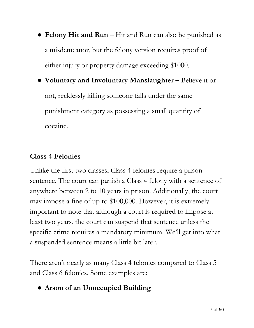- **Felony Hit and Run [–](https://law.lis.virginia.gov/vacode/title18.2/chapter4/section18.2-47/)** Hit and Run can also be punished as a misdemeanor, but the felony version requires proof of either injury or property damage exceeding \$1000.
- **Voluntary and Involuntary Manslaughte[r –](https://law.lis.virginia.gov/vacode/title18.2/chapter10/section18.2-434/)** Believe it or not, recklessly killing someone falls under the same punishment category as possessing a small quantity of cocaine.

### **Class 4 Felonies**

Unlike the first two classes, Class 4 felonies require a prison sentence. The court can punish a Class 4 felony with a sentence of anywhere between 2 to 10 years in prison. Additionally, the court may impose a fine of up to \$100,000. However, it is extremely important to note that although a court is required to impose at least two years, the court can suspend that sentence unless the specific crime requires a mandatory minimum. We'll get into what a suspended sentence means a little bit later.

There aren't nearly as many Class 4 felonies compared to Class 5 and Class 6 felonies. Some examples are:

● **Arson of an Unoccupied Building**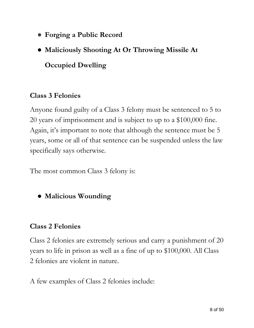- **● Forging a Public Record**
- **Maliciously Shooting At Or Throwing Missile At**

**Occupied Dwelling**

### **Class 3 Felonies**

Anyone found guilty of a Class 3 felony must be sentenced to 5 to 20 years of imprisonment and is subject to up to a \$100,000 fine. Again, it's important to note that although the sentence must be 5 years, some or all of that sentence can be suspended unless the law specifically says otherwise.

The most common Class 3 felony is:

● **Malicious Wounding**

#### **Class 2 Felonies**

Class 2 felonies are extremely serious and carry a punishment of 20 years to life in prison as well as a fine of up to \$100,000. All Class 2 felonies are violent in nature.

A few examples of Class 2 felonies include: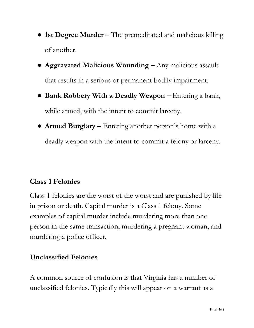- **1st Degree Murder [–](https://law.lis.virginia.gov/vacode/title18.2/chapter4/section18.2-51.2/)** The premeditated and malicious killing of another.
- **[Aggravated Malicious Wounding –](https://law.lis.virginia.gov/vacode/title18.2/chapter4/section18.2-51.2/)** Any malicious assault that results in a serious or permanent bodily impairment.
- **[Bank Robbery With a Deadly Weapon –](https://law.lis.virginia.gov/vacode/title18.2/chapter5/section18.2-93/)** Entering a bank, while armed, [with the intent to commit larceny.](https://tingenwilliams.com/2018/grand-larceny/25955)
- **[Armed Burglary –](https://law.lis.virginia.gov/vacode/title18.2/chapter5/section18.2-89/)** Entering another person's home with a deadly weapon with the intent to commit a felony or larceny.

### **Class 1 Felonies**

Class 1 felonies are the worst of the worst and are punished by life in prison or death. Capital murder is a Class 1 felony. Some examples of capital murder include murdering more than one person in the same transaction, murdering a pregnant woman, and murdering a police officer.

### **Unclassified Felonies**

A common source of confusion is that Virginia has a number of unclassified felonies. Typically this will appear on a warrant as a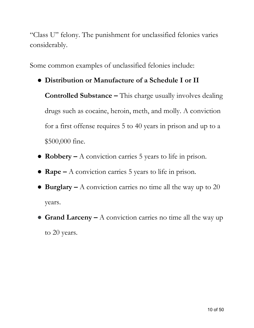"Class U" felony. The punishment for unclassified felonies varies considerably.

Some common examples of unclassified felonies include:

● **Distribution or Manufacture of a Schedule I or II**

**Controlled Substance [–](https://law.lis.virginia.gov/vacode/title18.2/chapter4/section18.2-51.2/)** This charge usually involves dealing drugs such as cocaine, heroin, meth, and molly. A conviction for a first offense requires 5 to 40 years in prison and up to a \$500,000 fine.

- **Robbery [–](https://law.lis.virginia.gov/vacode/title18.2/chapter4/section18.2-51.2/)** A conviction carries 5 years to life in prison.
- **Rape [–](https://law.lis.virginia.gov/vacode/title18.2/chapter5/section18.2-93/)** A conviction carries 5 years to life in prison.
- **[Burglary –](https://law.lis.virginia.gov/vacode/title18.2/chapter5/section18.2-89/)** A conviction carries no time all the way up to 20 years.
- **Grand Larceny [–](https://law.lis.virginia.gov/vacode/title18.2/chapter5/section18.2-89/)** A conviction carries no time all the way up to 20 years.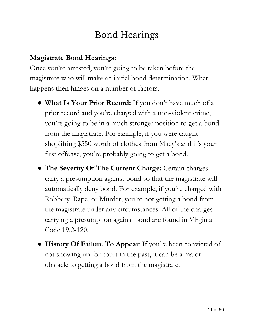## Bond Hearings

### **Magistrate Bond Hearings:**

Once you're arrested, you're going to be taken before the magistrate who will make an initial bond determination. What happens then hinges on a number of factors.

- **What Is Your Prior Record:** If you don't have much of a prior record and you're charged with a non-violent crime, you're going to be in a much stronger position to get a bond from the magistrate. For example, if you were caught shoplifting \$550 worth of clothes from Macy's and it's your first offense, you're probably going to get a bond.
- **The Severity Of The Current Charge:** Certain charges carry a presumption against bond so that the magistrate will automatically deny bond. For example, if you're charged with Robbery, Rape, or Murder, you're not getting a bond from the magistrate under any circumstances. All of the charges carrying a presumption against bond are found in Virginia Code 19.2-120.
- **History Of Failure To Appear**: If you're been convicted of not showing up for court in the past, it can be a major obstacle to getting a bond from the magistrate.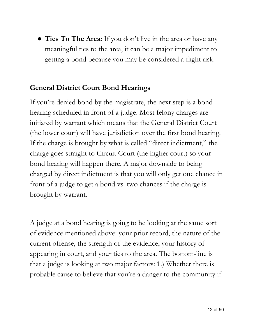● **Ties To The Area**: If you don't live in the area or have any meaningful ties to the area, it can be a major impediment to getting a bond because you may be considered a flight risk.

### **General District Court Bond Hearings**

If you're denied bond by the magistrate, the next step is a bond hearing scheduled in front of a judge. Most felony charges are initiated by warrant which means that the General District Court (the lower court) will have jurisdiction over the first bond hearing. If the charge is brought by what is called "direct indictment," the charge goes straight to Circuit Court (the higher court) so your bond hearing will happen there. A major downside to being charged by direct indictment is that you will only get one chance in front of a judge to get a bond vs. two chances if the charge is brought by warrant.

A judge at a bond hearing is going to be looking at the same sort of evidence mentioned above: your prior record, the nature of the current offense, the strength of the evidence, your history of appearing in court, and your ties to the area. The bottom-line is that a judge is looking at two major factors: 1.) Whether there is probable cause to believe that you're a danger to the community if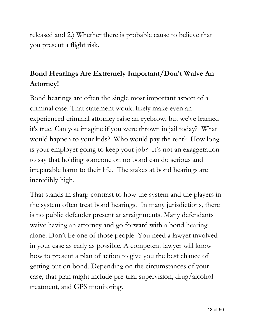released and 2.) Whether there is probable cause to believe that you present a flight risk.

### **Bond Hearings Are Extremely Important/Don't Waive An Attorney!**

Bond hearings are often the single most important aspect of a criminal case. That statement would likely make even an experienced criminal attorney raise an eyebrow, but we've learned it's true. Can you imagine if you were thrown in jail today? What would happen to your kids? Who would pay the rent? How long is your employer going to keep your job? It's not an exaggeration to say that holding someone on no bond can do serious and irreparable harm to their life. The stakes at bond hearings are incredibly high.

That stands in sharp contrast to how the system and the players in the system often treat bond hearings. In many jurisdictions, there is no public defender present at arraignments. Many defendants waive having an attorney and go forward with a bond hearing alone. Don't be one of those people! You need a lawyer involved in your case as early as possible. A competent lawyer will know how to present a plan of action to give you the best chance of getting out on bond. Depending on the circumstances of your case, that plan might include pre-trial supervision, drug/alcohol treatment, and GPS monitoring.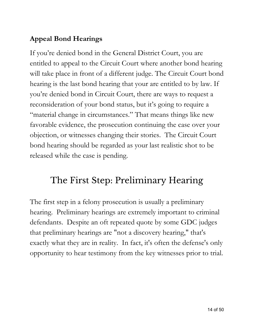### **Appeal Bond Hearings**

If you're denied bond in the General District Court, you are entitled to appeal to the Circuit Court where another bond hearing will take place in front of a different judge. The Circuit Court bond hearing is the last bond hearing that your are entitled to by law. If you're denied bond in Circuit Court, there are ways to request a reconsideration of your bond status, but it's going to require a "material change in circumstances." That means things like new favorable evidence, the prosecution continuing the case over your objection, or witnesses changing their stories. The Circuit Court bond hearing should be regarded as your last realistic shot to be released while the case is pending.

### The First Step: Preliminary Hearing

The first step in a felony prosecution is usually a preliminary hearing. Preliminary hearings are extremely important to criminal defendants. Despite an oft repeated quote by some GDC judges that preliminary hearings are "not a discovery hearing," that's exactly what they are in reality. In fact, it's often the defense's only opportunity to hear testimony from the key witnesses prior to trial.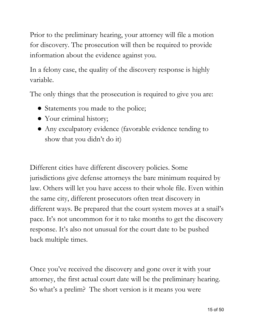Prior to the preliminary hearing, your attorney will file a motion for discovery. The prosecution will then be required to provide information about the evidence against you.

In a felony case, the quality of the discovery response is highly variable.

The only things that the prosecution is required to give you are:

- Statements you made to the police;
- Your criminal history;
- Any exculpatory evidence (favorable evidence tending to show that you didn't do it)

Different cities have different discovery policies. Some jurisdictions give defense attorneys the bare minimum required by law. Others will let you have access to their whole file. Even within the same city, different prosecutors often treat discovery in different ways. Be prepared that the court system moves at a snail's pace. It's not uncommon for it to take months to get the discovery response. It's also not unusual for the court date to be pushed back multiple times.

Once you've received the discovery and gone over it with your attorney, the first actual court date will be the preliminary hearing. So what's a prelim? The short version is it means you were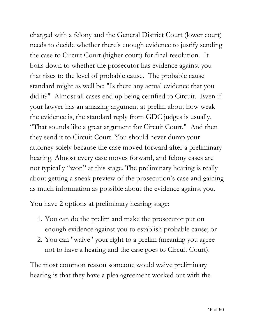charged with a felony and the General District Court (lower court) needs to decide whether there's enough evidence to justify sending the case to Circuit Court (higher court) for final resolution. It boils down to whether the prosecutor has evidence against you that rises to the level of probable cause. The probable cause standard might as well be: "Is there any actual evidence that you did it?" Almost all cases end up being certified to Circuit. Even if your lawyer has an amazing argument at prelim about how weak the evidence is, the standard reply from GDC judges is usually, "That sounds like a great argument for Circuit Court." And then they send it to Circuit Court. You should never dump your attorney solely because the case moved forward after a preliminary hearing. Almost every case moves forward, and felony cases are not typically "won" at this stage. The preliminary hearing is really about getting a sneak preview of the prosecution's case and gaining as much information as possible about the evidence against you.

You have 2 options at preliminary hearing stage:

- 1. You can do the prelim and make the prosecutor put on enough evidence against you to establish probable cause; or
- 2. You can "waive" your right to a prelim (meaning you agree not to have a hearing and the case goes to Circuit Court).

The most common reason someone would waive preliminary hearing is that they have a plea agreement worked out with the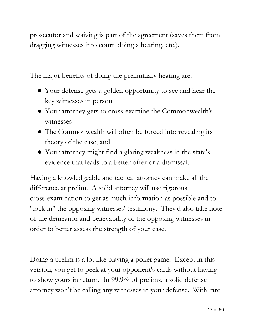prosecutor and waiving is part of the agreement (saves them from dragging witnesses into court, doing a hearing, etc.).

The major benefits of doing the preliminary hearing are:

- Your defense gets a golden opportunity to see and hear the key witnesses in person
- Your attorney gets to cross-examine the Commonwealth's witnesses
- The Commonwealth will often be forced into revealing its theory of the case; and
- Your attorney might find a glaring weakness in the state's evidence that leads to a better offer or a dismissal.

Having a knowledgeable and tactical attorney can make all the difference at prelim. A solid attorney will use rigorous cross-examination to get as much information as possible and to "lock in" the opposing witnesses' testimony. They'd also take note of the demeanor and believability of the opposing witnesses in order to better assess the strength of your case.

Doing a prelim is a lot like playing a poker game. Except in this version, you get to peek at your opponent's cards without having to show yours in return. In 99.9% of prelims, a solid defense attorney won't be calling any witnesses in your defense. With rare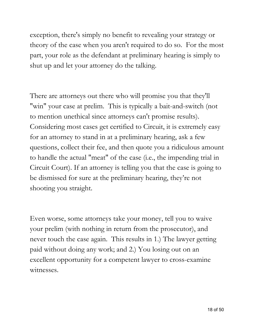exception, there's simply no benefit to revealing your strategy or theory of the case when you aren't required to do so. For the most part, your role as the defendant at preliminary hearing is simply to shut up and let your attorney do the talking.

There are attorneys out there who will promise you that they'll "win" your case at prelim. This is typically a bait-and-switch (not to mention unethical since attorneys can't promise results). Considering most cases get certified to Circuit, it is extremely easy for an attorney to stand in at a preliminary hearing, ask a few questions, collect their fee, and then quote you a ridiculous amount to handle the actual "meat" of the case (i.e., the impending trial in Circuit Court). If an attorney is telling you that the case is going to be dismissed for sure at the preliminary hearing, they're not shooting you straight.

Even worse, some attorneys take your money, tell you to waive your prelim (with nothing in return from the prosecutor), and never touch the case again. This results in 1.) The lawyer getting paid without doing any work; and 2.) You losing out on an excellent opportunity for a competent lawyer to cross-examine witnesses.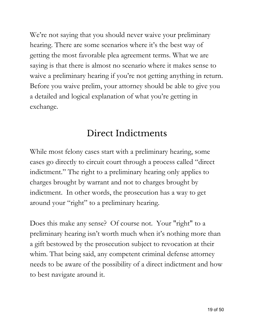We're not saying that you should never waive your preliminary hearing. There are some scenarios where it's the best way of getting the most favorable plea agreement terms. What we are saying is that there is almost no scenario where it makes sense to waive a preliminary hearing if you're not getting anything in return. Before you waive prelim, your attorney should be able to give you a detailed and logical explanation of what you're getting in exchange.

### Direct Indictments

While most felony cases start with a preliminary hearing, some cases go directly to circuit court through a process called "direct indictment." The right to a preliminary hearing only applies to charges brought by warrant and not to charges brought by indictment. In other words, the prosecution has a way to get around your "right" to a preliminary hearing.

Does this make any sense? Of course not. Your "right" to a preliminary hearing isn't worth much when it's nothing more than a gift bestowed by the prosecution subject to revocation at their whim. That being said, any competent criminal defense attorney needs to be aware of the possibility of a direct indictment and how to best navigate around it.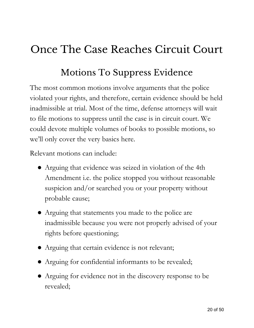# Once The Case Reaches Circuit Court

## Motions To Suppress Evidence

The most common motions involve arguments that the police violated your rights, and therefore, certain evidence should be held inadmissible at trial. Most of the time, defense attorneys will wait to file motions to suppress until the case is in circuit court. We could devote multiple volumes of books to possible motions, so we'll only cover the very basics here.

Relevant motions can include:

- Arguing that evidence was seized in violation of the 4th Amendment i.e. the police stopped you without reasonable suspicion and/or searched you or your property without probable cause;
- Arguing that statements you made to the police are inadmissible because you were not properly advised of your rights before questioning;
- Arguing that certain evidence is not relevant;
- Arguing for confidential informants to be revealed;
- Arguing for evidence not in the discovery response to be revealed;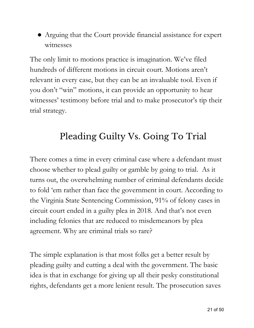● Arguing that the Court provide financial assistance for expert witnesses

The only limit to motions practice is imagination. We've filed hundreds of different motions in circuit court. Motions aren't relevant in every case, but they can be an invaluable tool. Even if you don't "win" motions, it can provide an opportunity to hear witnesses' testimony before trial and to make prosecutor's tip their trial strategy.

## Pleading Guilty Vs. Going To Trial

There comes a time in every criminal case where a defendant must choose whether to plead guilty or gamble by going to trial. As it turns out, the overwhelming number of criminal defendants decide to fold 'em rather than face the government in court. According to the Virginia State Sentencing Commission, 91% of felony cases in circuit court ended in a guilty plea in 2018. And that's not even including felonies that are reduced to misdemeanors by plea agreement. Why are criminal trials so rare?

The simple explanation is that most folks get a better result by pleading guilty and cutting a deal with the government. The basic idea is that in exchange for giving up all their pesky constitutional rights, defendants get a more lenient result. The prosecution saves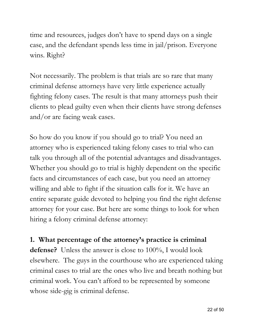time and resources, judges don't have to spend days on a single case, and the defendant spends less time in jail/prison. Everyone wins. Right?

Not necessarily. The problem is that trials are so rare that many criminal defense attorneys have very little experience actually fighting felony cases. The result is that many attorneys push their clients to plead guilty even when their clients have strong defenses and/or are facing weak cases.

So how do you know if you should go to trial? You need an attorney who is experienced taking felony cases to trial who can talk you through all of the potential advantages and disadvantages. Whether you should go to trial is highly dependent on the specific facts and circumstances of each case, but you need an attorney willing and able to fight if the situation calls for it. We have an entire separate guide devoted to helping you find the right defense attorney for your case. But here are some things to look for when hiring a felony criminal defense attorney:

### **1. What percentage of the attorney's practice is criminal**

**defense?** Unless the answer is close to 100%, I would look elsewhere. The guys in the courthouse who are experienced taking criminal cases to trial are the ones who live and breath nothing but criminal work. You can't afford to be represented by someone whose side-gig is criminal defense.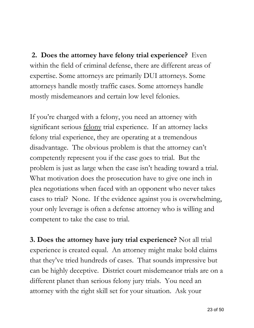**2. Does the attorney have felony trial experience?** Even within the field of criminal defense, there are different areas of expertise. Some attorneys are primarily DUI attorneys. Some attorneys handle mostly traffic cases. Some attorneys handle mostly misdemeanors and certain low level felonies.

If you're charged with a felony, you need an attorney with significant serious felony trial experience. If an attorney lacks felony trial experience, they are operating at a tremendous disadvantage. The obvious problem is that the attorney can't competently represent you if the case goes to trial. But the problem is just as large when the case isn't heading toward a trial. What motivation does the prosecution have to give one inch in plea negotiations when faced with an opponent who never takes cases to trial? None. If the evidence against you is overwhelming, your only leverage is often a defense attorney who is willing and competent to take the case to trial.

**3. Does the attorney have jury trial experience?** Not all trial experience is created equal. An attorney might make bold claims that they've tried hundreds of cases. That sounds impressive but can be highly deceptive. District court misdemeanor trials are on a different planet than serious felony jury trials. You need an attorney with the right skill set for your situation. Ask your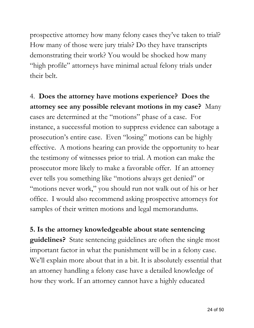prospective attorney how many felony cases they've taken to trial? How many of those were jury trials? Do they have transcripts demonstrating their work? You would be shocked how many "high profile" attorneys have minimal actual felony trials under their belt.

4. **Does the attorney have motions experience? Does the attorney see any possible relevant motions in my case?** Many cases are determined at the "motions" phase of a case. For instance, a successful motion to suppress evidence can sabotage a prosecution's entire case. Even "losing" motions can be highly effective. A motions hearing can provide the opportunity to hear the testimony of witnesses prior to trial. A motion can make the prosecutor more likely to make a favorable offer. If an attorney ever tells you something like "motions always get denied" or "motions never work," you should run not walk out of his or her office. I would also recommend asking prospective attorneys for samples of their written motions and legal memorandums.

**5. Is the attorney knowledgeable about state sentencing guidelines?** State sentencing guidelines are often the single most important factor in what the punishment will be in a felony case. We'll explain more about that in a bit. It is absolutely essential that an attorney handling a felony case have a detailed knowledge of how they work. If an attorney cannot have a highly educated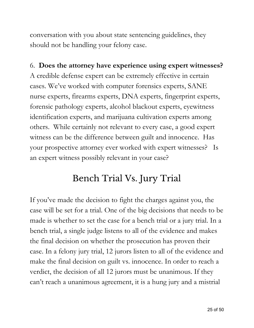conversation with you about state sentencing guidelines, they should not be handling your felony case.

### 6. **Does the attorney have experience using expert witnesses?**

A credible defense expert can be extremely effective in certain cases. We've worked with computer forensics experts, SANE nurse experts, firearms experts, DNA experts, fingerprint experts, forensic pathology experts, alcohol blackout experts, eyewitness identification experts, and marijuana cultivation experts among others. While certainly not relevant to every case, a good expert witness can be the difference between guilt and innocence. Has your prospective attorney ever worked with expert witnesses? Is an expert witness possibly relevant in your case?

### Bench Trial Vs. Jury Trial

If you've made the decision to fight the charges against you, the case will be set for a trial. One of the big decisions that needs to be made is whether to set the case for a bench trial or a jury trial. In a bench trial, a single judge listens to all of the evidence and makes the final decision on whether the prosecution has proven their case. In a felony jury trial, 12 jurors listen to all of the evidence and make the final decision on guilt vs. innocence. In order to reach a verdict, the decision of all 12 jurors must be unanimous. If they can't reach a unanimous agreement, it is a hung jury and a mistrial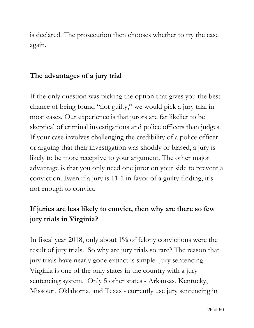is declared. The prosecution then chooses whether to try the case again.

#### **The advantages of a jury trial**

If the only question was picking the option that gives you the best chance of being found "not guilty," we would pick a jury trial in most cases. Our experience is that jurors are far likelier to be skeptical of criminal investigations and police officers than judges. If your case involves challenging the credibility of a police officer or arguing that their investigation was shoddy or biased, a jury is likely to be more receptive to your argument. The other major advantage is that you only need one juror on your side to prevent a conviction. Even if a jury is 11-1 in favor of a guilty finding, it's not enough to convict.

### **If juries are less likely to convict, then why are there so few jury trials in Virginia?**

In fiscal year 2018, only about 1% of felony convictions were the result of jury trials. So why are jury trials so rare? The reason that jury trials have nearly gone extinct is simple. Jury sentencing. Virginia is one of the only states in the country with a jury sentencing system. Only 5 other states - Arkansas, Kentucky, Missouri, Oklahoma, and Texas - currently use jury sentencing in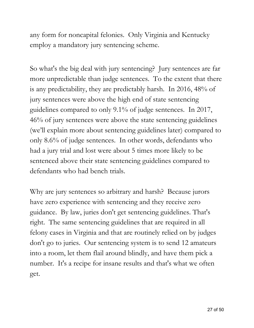any form for noncapital felonies. Only Virginia and Kentucky employ a mandatory jury sentencing scheme.

So what's the big deal with jury sentencing? Jury sentences are far more unpredictable than judge sentences. To the extent that there is any predictability, they are predictably harsh. In [2016,](http://www.vcsc.virginia.gov/2016Annualreportfinal.pdf) 48% of jury sentences were above the high end of state sentencing guidelines compared to only 9.1% of judge sentences. In [2017](http://www.vcsc.virginia.gov/2017AnnualReport.pdf), 46% of jury sentences were above the state sentencing guidelines (we'll explain more about sentencing guidelines later) compared to only 8.6% of judge sentences. In other words, defendants who had a jury trial and lost were about 5 times more likely to be sentenced above their state sentencing guidelines compared to defendants who had bench trials.

Why are jury sentences so arbitrary and harsh? Because jurors have zero experience with sentencing and they receive zero guidance. By law, juries don't get sentencing guidelines. That's right. The same sentencing guidelines that are required in all felony cases in Virginia and that are routinely relied on by judges don't go to juries. Our sentencing system is to send 12 amateurs into a room, let them flail around blindly, and have them pick a number. It's a recipe for insane results and that's what we often get.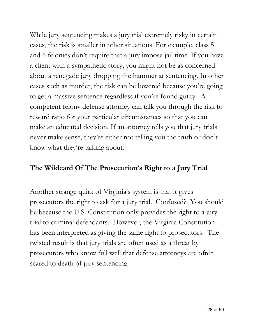While jury sentencing makes a jury trial extremely risky in certain cases, the risk is smaller in other situations. For example, class 5 and 6 felonies don't require that a jury impose jail time. If you have a client with a sympathetic story, you might not be as concerned about a renegade jury dropping the hammer at sentencing. In other cases such as murder, the risk can be lowered because you're going to get a massive sentence regardless if you're found guilty. A competent felony defense attorney can talk you through the risk to reward ratio for your particular circumstances so that you can make an educated decision. If an attorney tells you that jury trials never make sense, they're either not telling you the truth or don't know what they're talking about.

### **The Wildcard Of The Prosecution's Right to a Jury Trial**

Another strange quirk of Virginia's system is that it gives prosecutors the right to ask for a jury trial. Confused? You should be because the U.S. Constitution only provides the right to a jury trial to criminal defendants. However, the Virginia Constitution has been interpreted as giving the same right to prosecutors. The twisted result is that jury trials are often used as a threat by prosecutors who know full well that defense attorneys are often scared to death of jury sentencing.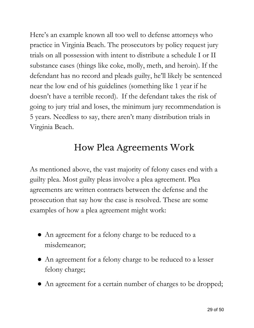Here's an example known all too well to defense attorneys who practice in Virginia Beach. The prosecutors by policy request jury trials on all possession with intent to distribute a schedule I or II substance cases (things like coke, molly, meth, and heroin). If the defendant has no record and pleads guilty, he'll likely be sentenced near the low end of his guidelines (something like 1 year if he doesn't have a terrible record). If the defendant takes the risk of going to jury trial and loses, the minimum jury recommendation is 5 years. Needless to say, there aren't many distribution trials in Virginia Beach.

### How Plea Agreements Work

As mentioned above, the vast majority of felony cases end with a guilty plea. Most guilty pleas involve a plea agreement. Plea agreements are written contracts between the defense and the prosecution that say how the case is resolved. These are some examples of how a plea agreement might work:

- An agreement for a felony charge to be reduced to a misdemeanor;
- An agreement for a felony charge to be reduced to a lesser felony charge;
- An agreement for a certain number of charges to be dropped;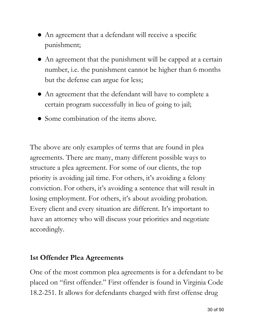- An agreement that a defendant will receive a specific punishment;
- An agreement that the punishment will be capped at a certain number, i.e. the punishment cannot be higher than 6 months but the defense can argue for less;
- An agreement that the defendant will have to complete a certain program successfully in lieu of going to jail;
- Some combination of the items above.

The above are only examples of terms that are found in plea agreements. There are many, many different possible ways to structure a plea agreement. For some of our clients, the top priority is avoiding jail time. For others, it's avoiding a felony conviction. For others, it's avoiding a sentence that will result in losing employment. For others, it's about avoiding probation. Every client and every situation are different. It's important to have an attorney who will discuss your priorities and negotiate accordingly.

### **1st Offender Plea Agreements**

One of the most common plea agreements is for a defendant to be placed on "first offender." First offender is found in Virginia Code 18.2-251. It allows for defendants charged with first offense drug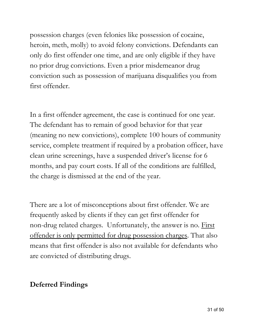possession charges (even felonies like possession of cocaine, heroin, meth, molly) to avoid felony convictions. Defendants can only do first offender one time, and are only eligible if they have no prior drug convictions. Even a prior misdemeanor drug conviction such as possession of marijuana disqualifies you from first offender.

In a first offender agreement, the case is continued for one year. The defendant has to remain of good behavior for that year (meaning no new convictions), complete 100 hours of community service, complete treatment if required by a probation officer, have clean urine screenings, have a suspended driver's license for 6 months, and pay court costs. If all of the conditions are fulfilled, the charge is dismissed at the end of the year.

There are a lot of misconceptions about first offender. We are frequently asked by clients if they can get first offender for non-drug related charges. Unfortunately, the answer is no. First offender is only permitted for drug possession charges. That also means that first offender is also not available for defendants who are convicted of distributing drugs.

### **Deferred Findings**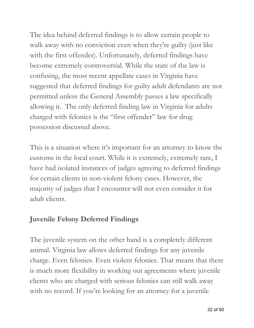The idea behind deferred findings is to allow certain people to walk away with no conviction even when they're guilty (just like with the first offender). Unfortunately, deferred findings have become extremely controversial. While the state of the law is confusing, the most recent appellate cases in Virginia have suggested that deferred findings for guilty adult defendants are not permitted unless the General Assembly passes a law specifically allowing it. The only deferred finding law in Virginia for adults charged with felonies is the "first offender" law for drug possession discussed above.

This is a situation where it's important for an attorney to know the customs in the local court. While it is extremely, extremely rare, I have had isolated instances of judges agreeing to deferred findings for certain clients in non-violent felony cases. However, the majority of judges that I encounter will not even consider it for adult clients.

### **Juvenile Felony Deferred Findings**

The juvenile system on the other hand is a completely different animal. Virginia law allows deferred findings for any juvenile charge. Even felonies. Even violent felonies. That means that there is much more flexibility in working out agreements where juvenile clients who are charged with serious felonies can still walk away with no record. If you're looking for an attorney for a juvenile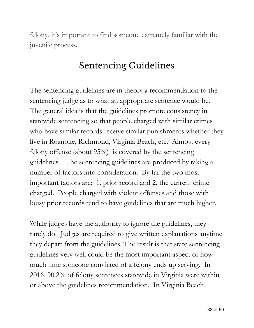felony, it's important to find someone extremely familiar with the juvenile process.

### Sentencing Guidelines

The sentencing guidelines are in theory a recommendation to the sentencing judge as to what an appropriate sentence would be. The general idea is that the guidelines promote consistency in statewide sentencing so that people charged with similar crimes who have similar records receive similar punishments whether they live in Roanoke, Richmond, Virginia Beach, etc. Almost every felony offense (about 95%) is covered by the sentencing guidelines . The sentencing guidelines are produced by taking a number of factors into consideration. By far the two most important factors are: 1. prior record and 2. the current crime charged. People charged with violent offenses and those with lousy prior records tend to have guidelines that are much higher.

While judges have the authority to ignore the guidelines, they rarely do. Judges are required to give written explanations anytime they depart from the guidelines. The result is that state sentencing guidelines very well could be the most important aspect of how much time someone convicted of a felony ends up serving. In 2016, 90.2% of felony sentences statewide in Virginia were within or above the guidelines recommendation. In Virginia Beach,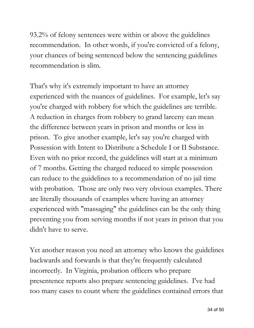93.2% of felony sentences were within or above the guidelines recommendation. In other words, if you're convicted of a felony, your chances of being sentenced below the sentencing guidelines recommendation is slim.

That's why it's extremely important to have an attorney experienced with the nuances of guidelines. For example, let's say you're charged with robbery for which the guidelines are terrible. A reduction in charges from robbery to grand larceny can mean the difference between years in prison and months or less in prison. To give another example, let's say you're charged with Possession with Intent to Distribute a Schedule I or II Substance. Even with no prior record, the guidelines will start at a minimum of 7 months. Getting the charged reduced to simple possession can reduce to the guidelines to a recommendation of no jail time with probation. Those are only two very obvious examples. There are literally thousands of examples where having an attorney experienced with "massaging" the guidelines can be the only thing preventing you from serving months if not years in prison that you didn't have to serve.

Yet another reason you need an attorney who knows the guidelines backwards and forwards is that they're frequently calculated incorrectly. In Virginia, probation officers who prepare presentence reports also prepare sentencing guidelines. I've had too many cases to count where the guidelines contained errors that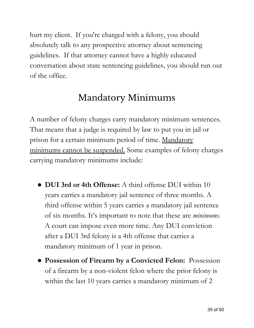hurt my client. If you're charged with a felony, you should absolutely talk to any prospective attorney about sentencing guidelines. If that attorney cannot have a highly educated conversation about state sentencing guidelines, you should run out of the office.

## Mandatory Minimums

A number of felony charges carry mandatory minimum sentences. That means that a judge is required by law to put you in jail or prison for a certain minimum period of time. Mandatory minimums cannot be suspended. Some examples of felony charges carrying mandatory minimums include:

- **DUI 3rd or 4th Offense:** A third offense DUI within 10 years carries a mandatory jail sentence of three months. A third offense within 5 years carries a mandatory jail sentence of six months. It's important to note that these are *minimums*. A court can impose even more time. Any DUI conviction after a DUI 3rd felony is a 4th offense that carries a mandatory minimum of 1 year in prison.
- **Possession of Firearm by a Convicted Felon:** Possession of a firearm by a non-violent felon where the prior felony is within the last 10 years carries a mandatory minimum of 2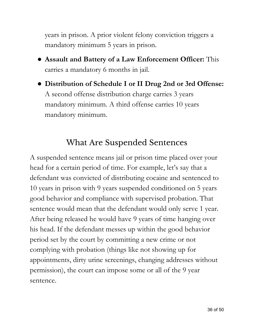years in prison. A prior violent felony conviction triggers a mandatory minimum 5 years in prison.

- **Assault and Battery of a Law Enforcement Officer:** This carries a mandatory 6 months in jail.
- **Distribution of Schedule I or II Drug 2nd or 3rd Offense:** A second offense distribution charge carries 3 years mandatory minimum. A third offense carries 10 years mandatory minimum.

### What Are Suspended Sentences

A suspended sentence means jail or prison time placed over your head for a certain period of time. For example, let's say that a defendant was convicted of distributing cocaine and sentenced to 10 years in prison with 9 years suspended conditioned on 5 years good behavior and compliance with supervised probation. That sentence would mean that the defendant would only serve 1 year. After being released he would have 9 years of time hanging over his head. If the defendant messes up within the good behavior period set by the court by committing a new crime or not complying with probation (things like not showing up for appointments, dirty urine screenings, changing addresses without permission), the court can impose some or all of the 9 year sentence.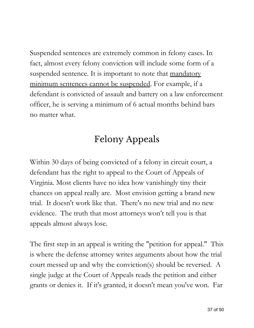Suspended sentences are extremely common in felony cases. In fact, almost every felony conviction will include some form of a suspended sentence. It is important to note that mandatory minimum sentences cannot be suspended. For example, if a defendant is convicted of assault and battery on a law enforcement officer, he is serving a minimum of 6 actual months behind bars no matter what.

## Felony Appeals

Within 30 days of being convicted of a felony in circuit court, a defendant has the right to appeal to the Court of Appeals of Virginia. Most clients have no idea how vanishingly tiny their chances on appeal really are. Most envision getting a brand new trial. It doesn't work like that. There's no new trial and no new evidence. The truth that most attorneys won't tell you is that appeals almost always lose.

The first step in an appeal is writing the "petition for appeal." This is where the defense attorney writes arguments about how the trial court messed up and why the conviction(s) should be reversed. A single judge at the Court of Appeals reads the petition and either grants or denies it. If it's granted, it doesn't mean you've won. Far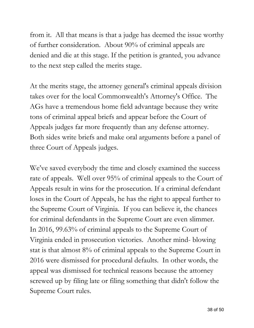from it. All that means is that a judge has deemed the issue worthy of further consideration. About 90% of criminal appeals are denied and die at this stage. If the petition is granted, you advance to the next step called the merits stage.

At the merits stage, the attorney general's criminal appeals division takes over for the local Commonwealth's Attorney's Office. The AGs have a tremendous home field advantage because they write tons of criminal appeal briefs and appear before the Court of Appeals judges far more frequently than any defense attorney. Both sides write briefs and make oral arguments before a panel of three Court of Appeals judges.

We've saved everybody the time and closely examined the success rate of appeals. Well over 95% of criminal appeals to the Court of Appeals result in wins for the prosecution. If a criminal defendant loses in the Court of Appeals, he has the right to appeal further to the Supreme Court of Virginia. If you can believe it, the chances for criminal defendants in the Supreme Court are even slimmer. In 2016, 99.63% of criminal appeals to the Supreme Court of Virginia ended in prosecution victories. Another mind- blowing stat is that almost 8% of criminal appeals to the Supreme Court in 2016 were dismissed for procedural defaults. In other words, the appeal was dismissed for technical reasons because the attorney screwed up by filing late or filing something that didn't follow the Supreme Court rules.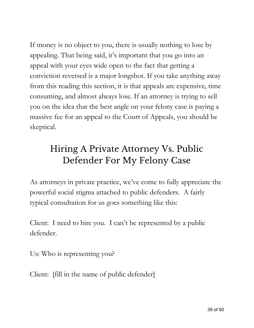If money is no object to you, there is usually nothing to lose by appealing. That being said, it's important that you go into an appeal with your eyes wide open to the fact that getting a conviction reversed is a major longshot. If you take anything away from this reading this section, it is that appeals are expensive, time consuming, and almost always lose. If an attorney is trying to sell you on the idea that the best angle on your felony case is paying a massive fee for an appeal to the Court of Appeals, you should be skeptical.

## Hiring A Private Attorney Vs. Public Defender For My Felony Case

As attorneys in private practice, we've come to fully appreciate the powerful social stigma attached to public defenders. A fairly typical consultation for us goes something like this:

Client: I need to hire you. I can't be represented by a public defender.

Us: Who is representing you?

Client: [fill in the name of public defender]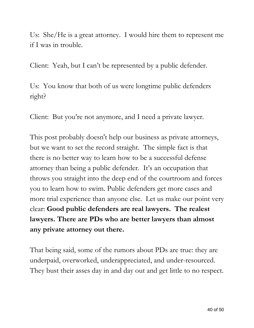Us: She/He is a great attorney. I would hire them to represent me if I was in trouble.

Client: Yeah, but I can't be represented by a public defender.

Us: You know that both of us were longtime public defenders right?

Client: But you're not anymore, and I need a private lawyer.

This post probably doesn't help our business as private attorneys, but we want to set the record straight. The simple fact is that there is no better way to learn how to be a successful defense attorney than being a public defender. It's an occupation that throws you straight into the deep end of the courtroom and forces you to learn how to swim. Public defenders get more cases and more trial experience than anyone else. Let us make our point very clear: **Good public defenders are real lawyers. The realest lawyers. There are PDs who are better lawyers than almost any private attorney out there.**

That being said, some of the rumors about PDs are true: they are underpaid, overworked, underappreciated, and under-resourced. They bust their asses day in and day out and get little to no respect.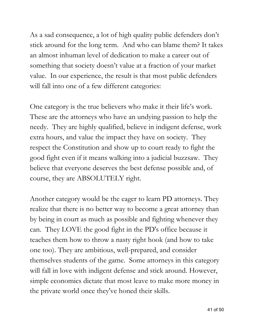As a sad consequence, a lot of high quality public defenders don't stick around for the long term. And who can blame them? It takes an almost inhuman level of dedication to make a career out of something that society doesn't value at a fraction of your market value. In our experience, the result is that most public defenders will fall into one of a few different categories:

One category is the true believers who make it their life's work. These are the attorneys who have an undying passion to help the needy. They are highly qualified, believe in indigent defense, work extra hours, and value the impact they have on society. They respect the Constitution and show up to court ready to fight the good fight even if it means walking into a judicial buzzsaw. They believe that everyone deserves the best defense possible and, of course, they are ABSOLUTELY right.

Another category would be the eager to learn PD attorneys. They realize that there is no better way to become a great attorney than by being in court as much as possible and fighting whenever they can. They LOVE the good fight in the PD's office because it teaches them how to throw a nasty right hook (and how to take one too). They are ambitious, well-prepared, and consider themselves students of the game. Some attorneys in this category will fall in love with indigent defense and stick around. However, simple economics dictate that most leave to make more money in the private world once they've honed their skills.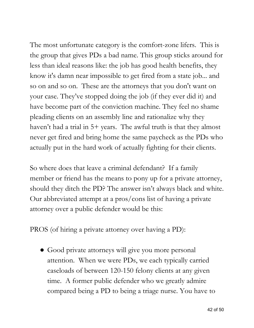The most unfortunate category is the comfort-zone lifers. This is the group that gives PDs a bad name. This group sticks around for less than ideal reasons like: the job has good health benefits, they know it's damn near impossible to get fired from a state job... and so on and so on. These are the attorneys that you don't want on your case. They've stopped doing the job (if they ever did it) and have become part of the conviction machine. They feel no shame pleading clients on an assembly line and rationalize why they haven't had a trial in 5+ years. The awful truth is that they almost never get fired and bring home the same paycheck as the PDs who actually put in the hard work of actually fighting for their clients.

So where does that leave a criminal defendant? If a family member or friend has the means to pony up for a private attorney, should they ditch the PD? The answer isn't always black and white. Our abbreviated attempt at a pros/cons list of having a private attorney over a public defender would be this:

PROS (of hiring a private attorney over having a PD):

• Good private attorneys will give you more personal attention. When we were PDs, we each typically carried caseloads of between 120-150 felony clients at any given time. A former public defender who we greatly admire compared being a PD to being a triage nurse. You have to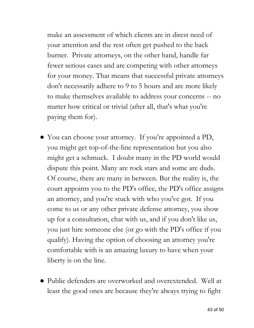make an assessment of which clients are in direst need of your attention and the rest often get pushed to the back burner. Private attorneys, on the other hand, handle far fewer serious cases and are competing with other attorneys for your money. That means that successful private attorneys don't necessarily adhere to 9 to 5 hours and are more likely to make themselves available to address your concerns -- no matter how critical or trivial (after all, that's what you're paying them for).

- You can choose your attorney. If you're appointed a PD, you might get top-of-the-line representation but you also might get a schmuck. I doubt many in the PD world would dispute this point. Many are rock stars and some are duds. Of course, there are many in between. But the reality is, the court appoints you to the PD's office, the PD's office assigns an attorney, and you're stuck with who you've got. If you come to us or any other private defense attorney, you show up for a consultation, chat with us, and if you don't like us, you just hire someone else (or go with the PD's office if you qualify). Having the option of choosing an attorney you're comfortable with is an amazing luxury to have when your liberty is on the line.
- Public defenders are overworked and overextended. Well at least the good ones are because they're always trying to fight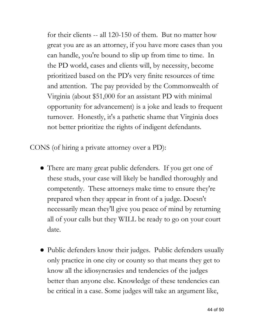for their clients -- all 120-150 of them. But no matter how great you are as an attorney, if you have more cases than you can handle, you're bound to slip up from time to time. In the PD world, cases and clients will, by necessity, become prioritized based on the PD's very finite resources of time and attention. The pay provided by the Commonwealth of Virginia (about \$51,000 for an assistant PD with minimal opportunity for advancement) is a joke and leads to frequent turnover. Honestly, it's a pathetic shame that Virginia does not better prioritize the rights of indigent defendants.

CONS (of hiring a private attorney over a PD):

- There are many great public defenders. If you get one of these studs, your case will likely be handled thoroughly and competently. These attorneys make time to ensure they're prepared when they appear in front of a judge. Doesn't necessarily mean they'll give you peace of mind by returning all of your calls but they WILL be ready to go on your court date.
- Public defenders know their judges. Public defenders usually only practice in one city or county so that means they get to know all the idiosyncrasies and tendencies of the judges better than anyone else. Knowledge of these tendencies can be critical in a case. Some judges will take an argument like,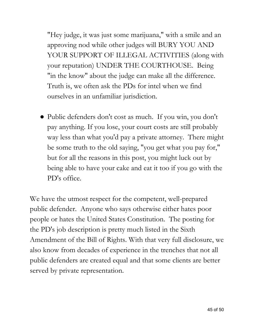"Hey judge, it was just some marijuana," with a smile and an approving nod while other judges will BURY YOU AND YOUR SUPPORT OF ILLEGAL ACTIVITIES (along with your reputation) UNDER THE COURTHOUSE. Being "in the know" about the judge can make all the difference. Truth is, we often ask the PDs for intel when we find ourselves in an unfamiliar jurisdiction.

● Public defenders don't cost as much. If you win, you don't pay anything. If you lose, your court costs are still probably way less than what you'd pay a private attorney. There might be some truth to the old saying, "you get what you pay for," but for all the reasons in this post, you might luck out by being able to have your cake and eat it too if you go with the PD's office.

We have the utmost respect for the competent, well-prepared public defender. Anyone who says otherwise either hates poor people or hates the United States Constitution. The posting for the PD's job description is pretty much listed in the Sixth Amendment of the Bill of Rights. With that very full disclosure, we also know from decades of experience in the trenches that not all public defenders are created equal and that some clients are better served by private representation.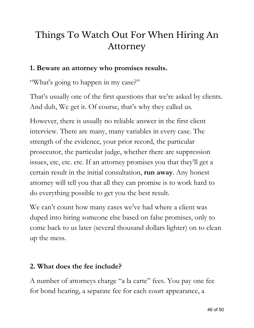## Things To Watch Out For When Hiring An Attorney

### **1. Beware an attorney who promises results.**

"What's going to happen in my case?"

That's usually one of the first questions that we're asked by clients. And duh, We get it. Of course, that's why they called us.

However, there is usually no reliable answer in the first client interview. There are many, many variables in every case. The strength of the evidence, your prior record, the particular prosecutor, the particular judge, whether there are suppression issues, etc, etc. etc. If an attorney promises you that they'll get a certain result in the initial consultation, **run away**. Any honest attorney will tell you that all they can promise is to work hard to do everything possible to get you the best result.

We can't count how many cases we've had where a client was duped into hiring someone else based on false promises, only to come back to us later (several thousand dollars lighter) on to clean up the mess.

### **2. What does the fee include?**

A number of attorneys charge "a la carte" fees. You pay one fee for bond hearing, a separate fee for each court appearance, a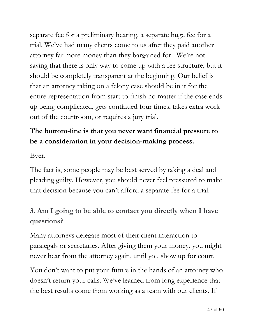separate fee for a preliminary hearing, a separate huge fee for a trial. We've had many clients come to us after they paid another attorney far more money than they bargained for. We're not saying that there is only way to come up with a fee structure, but it should be completely transparent at the beginning. Our belief is that an attorney taking on a felony case should be in it for the entire representation from start to finish no matter if the case ends up being complicated, gets continued four times, takes extra work out of the courtroom, or requires a jury trial.

### **The bottom-line is that you never want financial pressure to be a consideration in your decision-making process.**

Ever.

The fact is, some people may be best served by taking a deal and pleading guilty. However, you should never feel pressured to make that decision because you can't afford a separate fee for a trial.

### **3. Am I going to be able to contact you directly when I have questions?**

Many attorneys delegate most of their client interaction to paralegals or secretaries. After giving them your money, you might never hear from the attorney again, until you show up for court.

You don't want to put your future in the hands of an attorney who doesn't return your calls. We've learned from long experience that the best results come from working as a team with our clients. If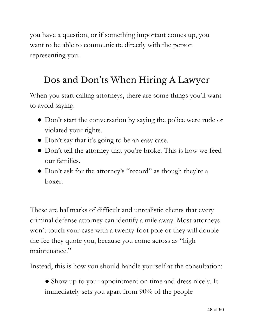you have a question, or if something important comes up, you want to be able to communicate directly with the person representing you.

### Dos and Don 'ts When Hiring A Lawyer

When you start calling attorneys, there are some things you'll want to avoid saying.

- Don't start the conversation by saying the police were rude or violated your rights.
- Don't say that it's going to be an easy case.
- Don't tell the attorney that you're broke. This is how we feed our families.
- Don't ask for the attorney's "record" as though they're a boxer.

These are hallmarks of difficult and unrealistic clients that every criminal defense attorney can identify a mile away. Most attorneys won't touch your case with a twenty-foot pole or they will double the fee they quote you, because you come across as "high maintenance."

Instead, this is how you should handle yourself at the consultation:

● Show up to your appointment on time and dress nicely. It immediately sets you apart from 90% of the people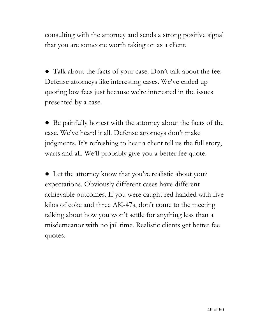consulting with the attorney and sends a strong positive signal that you are someone worth taking on as a client.

● Talk about the facts of your case. Don't talk about the fee. Defense attorneys like interesting cases. We've ended up quoting low fees just because we're interested in the issues presented by a case.

• Be painfully honest with the attorney about the facts of the case. We've heard it all. Defense attorneys don't make judgments. It's refreshing to hear a client tell us the full story, warts and all. We'll probably give you a better fee quote.

● Let the attorney know that you're realistic about your expectations. Obviously different cases have different achievable outcomes. If you were caught red handed with five kilos of coke and three AK-47s, don't come to the meeting talking about how you won't settle for anything less than a misdemeanor with no jail time. Realistic clients get better fee quotes.